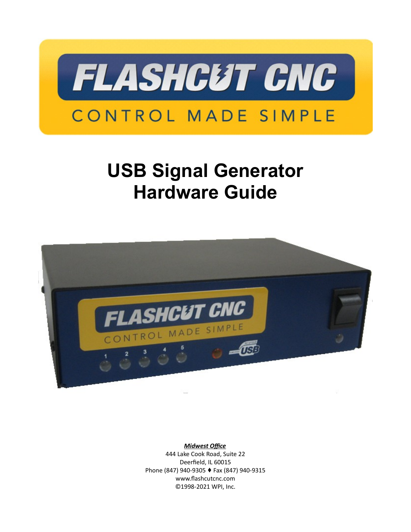

# **USB Signal Generator Hardware Guide**



*Midwest Office* 444 Lake Cook Road, Suite 22 Deerfield, IL 60015 Phone (847) 940-9305 + Fax (847) 940-9315 www.flashcutcnc.com ©1998-2021 WPI, Inc.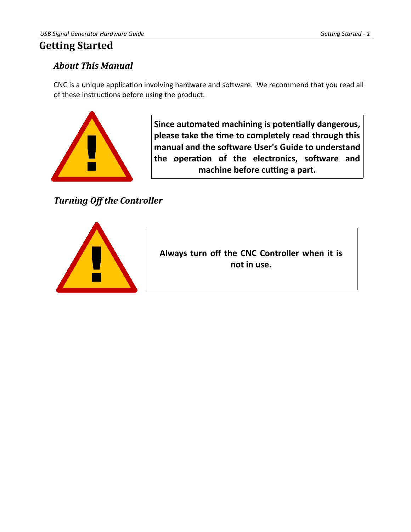## <span id="page-3-2"></span>**Getting Started**

## <span id="page-3-1"></span>*About This Manual*

CNC is a unique application involving hardware and software. We recommend that you read all of these instructions before using the product.



**Since automated machining is potentially dangerous, please take the time to completely read through this manual and the software User's Guide to understand the operation of the electronics, software and machine before cutting a part.**

<span id="page-3-0"></span>*Turning Off the Controller*



**Always turn off the CNC Controller when it is not in use.**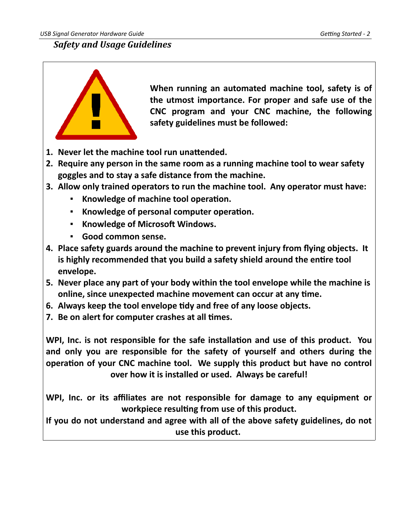*USB Signal Generator Hardware Guide Getting Started - 2*

## <span id="page-4-0"></span>*Safety and Usage Guidelines*



**When running an automated machine tool, safety is of the utmost importance. For proper and safe use of the CNC program and your CNC machine, the following safety guidelines must be followed:** 

- **1. Never let the machine tool run unattended.**
- **2. Require any person in the same room as a running machine tool to wear safety goggles and to stay a safe distance from the machine.**
- **3. Allow only trained operators to run the machine tool. Any operator must have:**
	- **Knowledge of machine tool operation.**
	- **Knowledge of personal computer operation.**
	- **Knowledge of Microsoft Windows.**
	- **Good common sense.**
- **4. Place safety guards around the machine to prevent injury from flying objects. It is highly recommended that you build a safety shield around the entire tool envelope.**
- **5. Never place any part of your body within the tool envelope while the machine is online, since unexpected machine movement can occur at any time.**
- **6. Always keep the tool envelope tidy and free of any loose objects.**
- **7. Be on alert for computer crashes at all times.**

**WPI, Inc. is not responsible for the safe installation and use of this product. You and only you are responsible for the safety of yourself and others during the operation of your CNC machine tool. We supply this product but have no control over how it is installed or used. Always be careful!**

**WPI, Inc. or its affiliates are not responsible for damage to any equipment or workpiece resulting from use of this product.**

**If you do not understand and agree with all of the above safety guidelines, do not use this product.**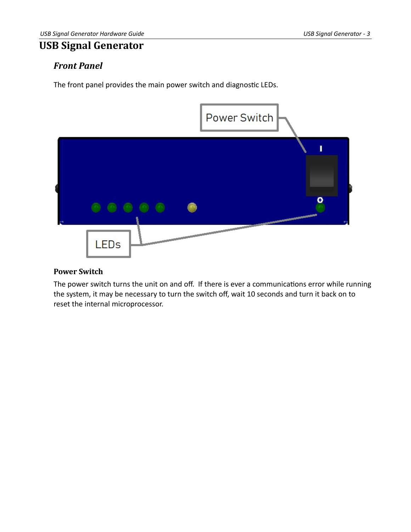## <span id="page-5-2"></span>**USB Signal Generator**

## <span id="page-5-1"></span>*Front Panel*

The front panel provides the main power switch and diagnostic LEDs.



#### <span id="page-5-0"></span>**Power Switch**

The power switch turns the unit on and off. If there is ever a communications error while running the system, it may be necessary to turn the switch off, wait 10 seconds and turn it back on to reset the internal microprocessor.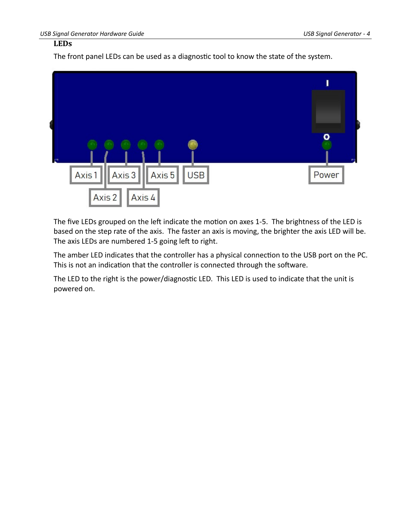#### <span id="page-6-0"></span>**LEDs**

The front panel LEDs can be used as a diagnostic tool to know the state of the system.



The five LEDs grouped on the left indicate the motion on axes 1-5. The brightness of the LED is based on the step rate of the axis. The faster an axis is moving, the brighter the axis LED will be. The axis LEDs are numbered 1-5 going left to right.

The amber LED indicates that the controller has a physical connection to the USB port on the PC. This is not an indication that the controller is connected through the software.

The LED to the right is the power/diagnostic LED. This LED is used to indicate that the unit is powered on.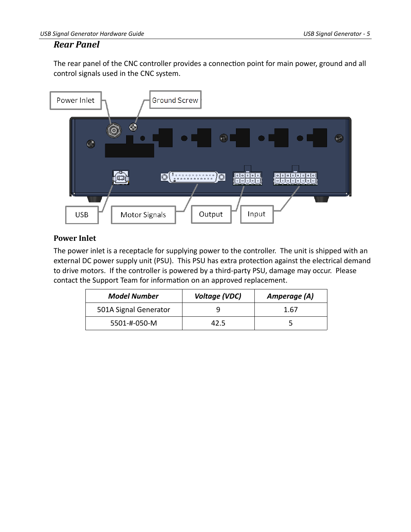#### <span id="page-7-1"></span>*Rear Panel*

The rear panel of the CNC controller provides a connection point for main power, ground and all control signals used in the CNC system.



#### <span id="page-7-0"></span>**Power Inlet**

The power inlet is a receptacle for supplying power to the controller. The unit is shipped with an external DC power supply unit (PSU). This PSU has extra protection against the electrical demand to drive motors. If the controller is powered by a third-party PSU, damage may occur. Please contact the Support Team for information on an approved replacement.

| <b>Model Number</b>   | Voltage (VDC) | Amperage (A) |
|-----------------------|---------------|--------------|
| 501A Signal Generator |               | 1.67         |
| 5501-#-050-M          | 12.5          |              |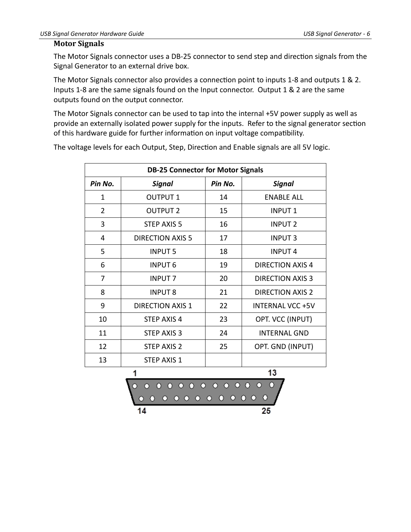#### <span id="page-8-0"></span>**Motor Signals**

The Motor Signals connector uses a DB-25 connector to send step and direction signals from the Signal Generator to an external drive box.

The Motor Signals connector also provides a connection point to inputs 1-8 and outputs 1 & 2. Inputs 1-8 are the same signals found on the Input connector. Output 1 & 2 are the same outputs found on the output connector.

The Motor Signals connector can be used to tap into the internal +5V power supply as well as provide an externally isolated power supply for the inputs. Refer to the signal generator section of this hardware guide for further information on input voltage compatibility.

The voltage levels for each Output, Step, Direction and Enable signals are all 5V logic.

| <b>DB-25 Connector for Motor Signals</b> |                         |         |                         |
|------------------------------------------|-------------------------|---------|-------------------------|
| Pin No.                                  | Signal                  | Pin No. | <b>Signal</b>           |
| 1                                        | <b>OUTPUT 1</b>         | 14      | <b>ENABLE ALL</b>       |
| 2                                        | <b>OUTPUT 2</b>         | 15      | <b>INPUT1</b>           |
| 3                                        | STEP AXIS 5             | 16      | <b>INPUT 2</b>          |
| 4                                        | <b>DIRECTION AXIS 5</b> | 17      | <b>INPUT3</b>           |
| 5                                        | <b>INPUT 5</b>          | 18      | <b>INPUT4</b>           |
| 6                                        | <b>INPUT 6</b>          | 19      | <b>DIRECTION AXIS 4</b> |
| 7                                        | <b>INPUT 7</b>          | 20      | <b>DIRECTION AXIS 3</b> |
| 8                                        | <b>INPUT 8</b>          | 21      | <b>DIRECTION AXIS 2</b> |
| 9                                        | <b>DIRECTION AXIS 1</b> | 22      | <b>INTERNAL VCC +5V</b> |
| 10                                       | <b>STEP AXIS 4</b>      | 23      | OPT. VCC (INPUT)        |
| 11                                       | STEP AXIS 3             | 24      | <b>INTERNAL GND</b>     |
| 12                                       | <b>STEP AXIS 2</b>      | 25      | OPT. GND (INPUT)        |
| 13                                       | <b>STEP AXIS 1</b>      |         |                         |

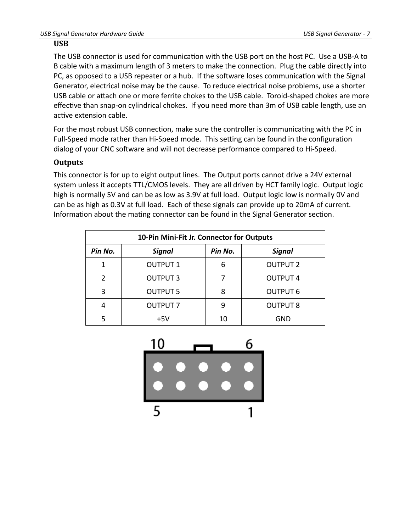#### <span id="page-9-1"></span>**USB**

The USB connector is used for communication with the USB port on the host PC. Use a USB-A to B cable with a maximum length of 3 meters to make the connection. Plug the cable directly into PC, as opposed to a USB repeater or a hub. If the software loses communication with the Signal Generator, electrical noise may be the cause. To reduce electrical noise problems, use a shorter USB cable or attach one or more ferrite chokes to the USB cable. Toroid-shaped chokes are more effective than snap-on cylindrical chokes. If you need more than 3m of USB cable length, use an active extension cable.

For the most robust USB connection, make sure the controller is communicating with the PC in Full-Speed mode rather than Hi-Speed mode. This setting can be found in the configuration dialog of your CNC software and will not decrease performance compared to Hi-Speed.

#### <span id="page-9-0"></span>**Outputs**

This connector is for up to eight output lines. The Output ports cannot drive a 24V external system unless it accepts TTL/CMOS levels. They are all driven by HCT family logic. Output logic high is normally 5V and can be as low as 3.9V at full load. Output logic low is normally 0V and can be as high as 0.3V at full load. Each of these signals can provide up to 20mA of current. Information about the mating connector can be found in the Signal Generator section.

| 10-Pin Mini-Fit Jr. Connector for Outputs |                 |         |                 |
|-------------------------------------------|-----------------|---------|-----------------|
| Pin No.                                   | <b>Signal</b>   | Pin No. | <b>Signal</b>   |
|                                           | <b>OUTPUT 1</b> | 6       | <b>OUTPUT 2</b> |
| $\mathcal{P}$                             | <b>OUTPUT 3</b> |         | <b>OUTPUT 4</b> |
| 3                                         | <b>OUTPUT 5</b> | 8       | <b>OUTPUT 6</b> |
|                                           | <b>OUTPUT 7</b> | q       | <b>OUTPUT 8</b> |
|                                           | $+5V$           | 10      | GND             |

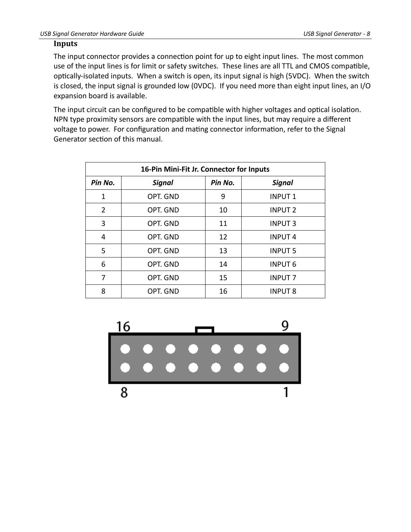#### <span id="page-10-0"></span>**Inputs**

The input connector provides a connection point for up to eight input lines. The most common use of the input lines is for limit or safety switches. These lines are all TTL and CMOS compatible, optically-isolated inputs. When a switch is open, its input signal is high (5VDC). When the switch is closed, the input signal is grounded low (0VDC). If you need more than eight input lines, an I/O expansion board is available.

The input circuit can be configured to be compatible with higher voltages and optical isolation. NPN type proximity sensors are compatible with the input lines, but may require a different voltage to power. For configuration and mating connector information, refer to the Signal Generator section of this manual.

| 16-Pin Mini-Fit Jr. Connector for Inputs |               |         |                |  |
|------------------------------------------|---------------|---------|----------------|--|
| Pin No.                                  | <b>Signal</b> | Pin No. | <b>Signal</b>  |  |
| 1                                        | OPT. GND      | 9       | <b>INPUT 1</b> |  |
| $\overline{2}$                           | OPT. GND      | 10      | <b>INPUT 2</b> |  |
| 3                                        | OPT. GND      | 11      | <b>INPUT 3</b> |  |
| 4                                        | OPT. GND      | 12      | <b>INPUT4</b>  |  |
| 5                                        | OPT. GND      | 13      | <b>INPUT 5</b> |  |
| 6                                        | OPT. GND      | 14      | <b>INPUT 6</b> |  |
| 7                                        | OPT. GND      | 15      | <b>INPUT 7</b> |  |
| 8                                        | OPT. GND      | 16      | <b>INPUT 8</b> |  |

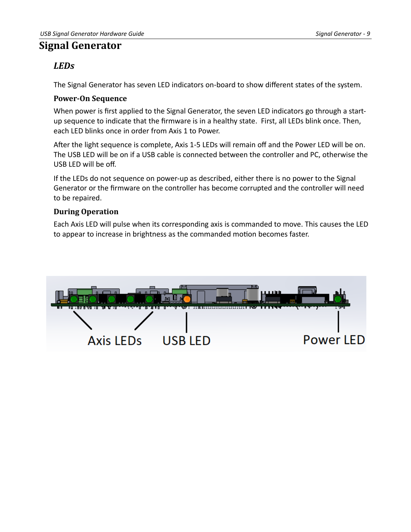## <span id="page-11-3"></span>**Signal Generator**

## <span id="page-11-2"></span>*LEDs*

The Signal Generator has seven LED indicators on-board to show different states of the system.

#### <span id="page-11-1"></span>**Power-On Sequence**

When power is first applied to the Signal Generator, the seven LED indicators go through a startup sequence to indicate that the firmware is in a healthy state. First, all LEDs blink once. Then, each LED blinks once in order from Axis 1 to Power.

After the light sequence is complete, Axis 1-5 LEDs will remain off and the Power LED will be on. The USB LED will be on if a USB cable is connected between the controller and PC, otherwise the USB LED will be off.

If the LEDs do not sequence on power-up as described, either there is no power to the Signal Generator or the firmware on the controller has become corrupted and the controller will need to be repaired.

#### <span id="page-11-0"></span>**During Operation**

Each Axis LED will pulse when its corresponding axis is commanded to move. This causes the LED to appear to increase in brightness as the commanded motion becomes faster.

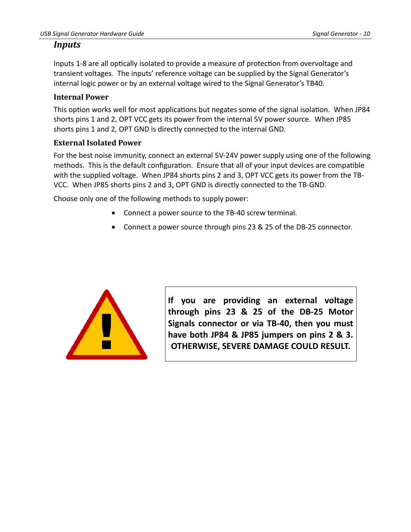#### <span id="page-12-2"></span>*Inputs*

Inputs 1-8 are all optically isolated to provide a measure of protection from overvoltage and transient voltages. The inputs' reference voltage can be supplied by the Signal Generator's internal logic power or by an external voltage wired to the Signal Generator's TB40.

#### <span id="page-12-1"></span>**Internal Power**

This option works well for most applications but negates some of the signal isolation. When JP84 shorts pins 1 and 2, OPT VCC gets its power from the internal 5V power source. When JP85 shorts pins 1 and 2, OPT GND is directly connected to the internal GND.

#### <span id="page-12-0"></span>**External Isolated Power**

For the best noise immunity, connect an external 5V-24V power supply using one of the following methods. This is the default configuration. Ensure that all of your input devices are compatible with the supplied voltage. When JP84 shorts pins 2 and 3, OPT VCC gets its power from the TB-VCC. When JP85 shorts pins 2 and 3, OPT GND is directly connected to the TB-GND.

Choose only one of the following methods to supply power:

- Connect a power source to the TB-40 screw terminal.
- Connect a power source through pins 23 & 25 of the DB-25 connector.



**If you are providing an external voltage through pins 23 & 25 of the DB-25 Motor Signals connector or via TB-40, then you must have both JP84 & JP85 jumpers on pins 2 & 3. OTHERWISE, SEVERE DAMAGE COULD RESULT.**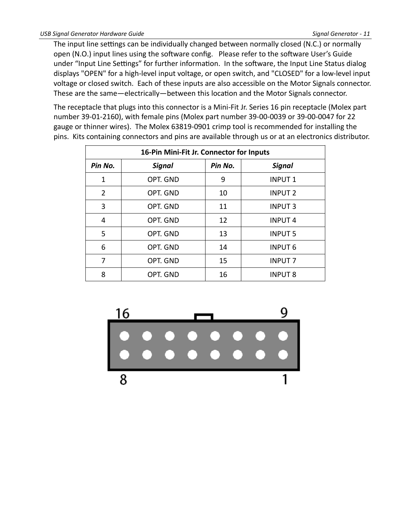The input line settings can be individually changed between normally closed (N.C.) or normally open (N.O.) input lines using the software config. Please refer to the software User's Guide under "Input Line Settings" for further information. In the software, the Input Line Status dialog displays "OPEN" for a high-level input voltage, or open switch, and "CLOSED" for a low-level input voltage or closed switch. Each of these inputs are also accessible on the Motor Signals connector. These are the same—electrically—between this location and the Motor Signals connector.

The receptacle that plugs into this connector is a Mini-Fit Jr. Series 16 pin receptacle (Molex part number 39-01-2160), with female pins (Molex part number 39-00-0039 or 39-00-0047 for 22 gauge or thinner wires). The Molex 63819-0901 crimp tool is recommended for installing the pins. Kits containing connectors and pins are available through us or at an electronics distributor.

| 16-Pin Mini-Fit Jr. Connector for Inputs |               |         |                |
|------------------------------------------|---------------|---------|----------------|
| Pin No.                                  | <b>Signal</b> | Pin No. | <b>Signal</b>  |
| 1                                        | OPT. GND      | 9       | <b>INPUT1</b>  |
| 2                                        | OPT. GND      | 10      | <b>INPUT 2</b> |
| 3                                        | OPT. GND      | 11      | <b>INPUT 3</b> |
| 4                                        | OPT. GND      | 12      | <b>INPUT4</b>  |
| 5                                        | OPT. GND      | 13      | <b>INPUT 5</b> |
| 6                                        | OPT. GND      | 14      | <b>INPUT 6</b> |
| 7                                        | OPT. GND      | 15      | <b>INPUT 7</b> |
| 8                                        | OPT. GND      | 16      | <b>INPUT 8</b> |

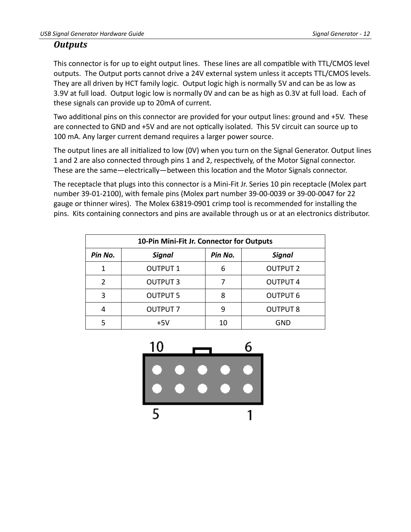#### <span id="page-14-0"></span>*Outputs*

This connector is for up to eight output lines. These lines are all compatible with TTL/CMOS level outputs. The Output ports cannot drive a 24V external system unless it accepts TTL/CMOS levels. They are all driven by HCT family logic. Output logic high is normally 5V and can be as low as 3.9V at full load. Output logic low is normally 0V and can be as high as 0.3V at full load. Each of these signals can provide up to 20mA of current.

Two additional pins on this connector are provided for your output lines: ground and +5V. These are connected to GND and +5V and are not optically isolated. This 5V circuit can source up to 100 mA. Any larger current demand requires a larger power source.

The output lines are all initialized to low (0V) when you turn on the Signal Generator. Output lines 1 and 2 are also connected through pins 1 and 2, respectively, of the Motor Signal connector. These are the same—electrically—between this location and the Motor Signals connector.

The receptacle that plugs into this connector is a Mini-Fit Jr. Series 10 pin receptacle (Molex part number 39-01-2100), with female pins (Molex part number 39-00-0039 or 39-00-0047 for 22 gauge or thinner wires). The Molex 63819-0901 crimp tool is recommended for installing the pins. Kits containing connectors and pins are available through us or at an electronics distributor.

|               | 10-Pin Mini-Fit Jr. Connector for Outputs |         |                 |  |
|---------------|-------------------------------------------|---------|-----------------|--|
| Pin No.       | <b>Signal</b>                             | Pin No. | <b>Signal</b>   |  |
| 1             | <b>OUTPUT 1</b>                           | 6       | <b>OUTPUT 2</b> |  |
| $\mathcal{P}$ | <b>OUTPUT 3</b>                           |         | <b>OUTPUT 4</b> |  |
| 3             | <b>OUTPUT 5</b>                           | 8       | <b>OUTPUT 6</b> |  |
| 4             | <b>OUTPUT 7</b>                           | q       | <b>OUTPUT 8</b> |  |
|               | $+5V$                                     | 10      | GND             |  |

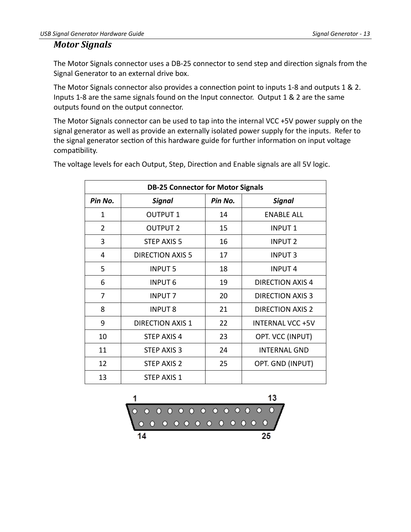#### <span id="page-15-0"></span>*Motor Signals*

The Motor Signals connector uses a DB-25 connector to send step and direction signals from the Signal Generator to an external drive box.

The Motor Signals connector also provides a connection point to inputs 1-8 and outputs 1 & 2. Inputs 1-8 are the same signals found on the Input connector. Output 1 & 2 are the same outputs found on the output connector.

The Motor Signals connector can be used to tap into the internal VCC +5V power supply on the signal generator as well as provide an externally isolated power supply for the inputs. Refer to the signal generator section of this hardware guide for further information on input voltage compatibility.

| <b>DB-25 Connector for Motor Signals</b> |                         |         |                         |
|------------------------------------------|-------------------------|---------|-------------------------|
| Pin No.                                  | Signal                  | Pin No. | Signal                  |
| 1                                        | <b>OUTPUT 1</b>         | 14      | <b>ENABLE ALL</b>       |
| $\overline{2}$                           | <b>OUTPUT 2</b>         | 15      | <b>INPUT1</b>           |
| 3                                        | <b>STEP AXIS 5</b>      | 16      | <b>INPUT 2</b>          |
| 4                                        | <b>DIRECTION AXIS 5</b> | 17      | <b>INPUT3</b>           |
| 5                                        | <b>INPUT 5</b>          | 18      | <b>INPUT4</b>           |
| 6                                        | <b>INPUT 6</b>          | 19      | <b>DIRECTION AXIS 4</b> |
| 7                                        | <b>INPUT 7</b>          | 20      | <b>DIRECTION AXIS 3</b> |
| 8                                        | <b>INPUT 8</b>          | 21      | <b>DIRECTION AXIS 2</b> |
| 9                                        | <b>DIRECTION AXIS 1</b> | 22      | <b>INTERNAL VCC +5V</b> |
| 10                                       | <b>STEP AXIS 4</b>      | 23      | OPT. VCC (INPUT)        |
| 11                                       | <b>STEP AXIS 3</b>      | 24      | <b>INTERNAL GND</b>     |
| 12                                       | STEP AXIS 2             | 25      | OPT. GND (INPUT)        |
| 13                                       | STEP AXIS 1             |         |                         |

The voltage levels for each Output, Step, Direction and Enable signals are all 5V logic.

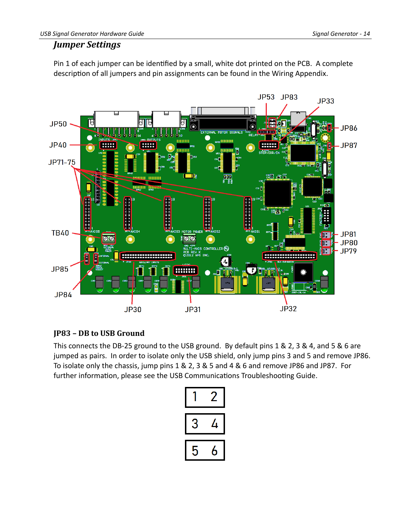#### <span id="page-16-1"></span>*Jumper Settings*

Pin 1 of each jumper can be identified by a small, white dot printed on the PCB. A complete description of all jumpers and pin assignments can be found in the Wiring Appendix.



#### <span id="page-16-0"></span>**JP83 – DB to USB Ground**

This connects the DB-25 ground to the USB ground. By default pins 1 & 2, 3 & 4, and 5 & 6 are jumped as pairs. In order to isolate only the USB shield, only jump pins 3 and 5 and remove JP86. To isolate only the chassis, jump pins 1 & 2, 3 & 5 and 4 & 6 and remove JP86 and JP87. For further information, please see the USB Communications Troubleshooting Guide.

|   | 4 |  |  |
|---|---|--|--|
| 5 | h |  |  |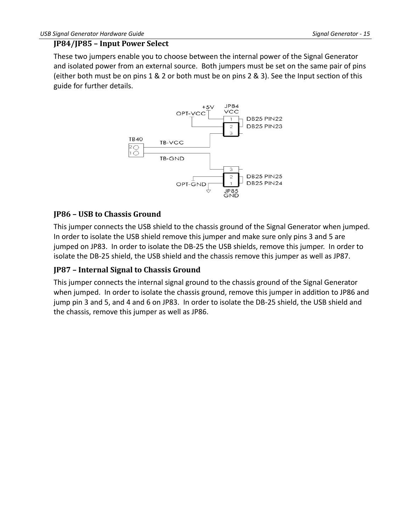#### <span id="page-17-2"></span>**JP84/JP85 – Input Power Select**

These two jumpers enable you to choose between the internal power of the Signal Generator and isolated power from an external source. Both jumpers must be set on the same pair of pins (either both must be on pins 1 & 2 or both must be on pins 2 & 3). See the Input section of this guide for further details.



#### <span id="page-17-1"></span>**JP86 – USB to Chassis Ground**

This jumper connects the USB shield to the chassis ground of the Signal Generator when jumped. In order to isolate the USB shield remove this jumper and make sure only pins 3 and 5 are jumped on JP83. In order to isolate the DB-25 the USB shields, remove this jumper. In order to isolate the DB-25 shield, the USB shield and the chassis remove this jumper as well as JP87.

#### <span id="page-17-0"></span>**JP87 – Internal Signal to Chassis Ground**

This jumper connects the internal signal ground to the chassis ground of the Signal Generator when jumped. In order to isolate the chassis ground, remove this jumper in addition to JP86 and jump pin 3 and 5, and 4 and 6 on JP83. In order to isolate the DB-25 shield, the USB shield and the chassis, remove this jumper as well as JP86.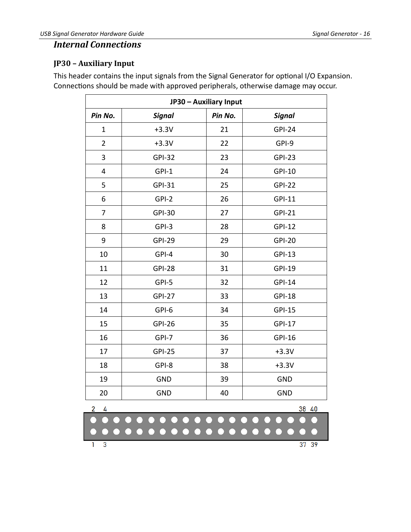#### <span id="page-18-1"></span>*Internal Connections*

#### <span id="page-18-0"></span>**JP30 – Auxiliary Input**

This header contains the input signals from the Signal Generator for optional I/O Expansion. Connections should be made with approved peripherals, otherwise damage may occur.

| JP30 - Auxiliary Input  |               |         |               |
|-------------------------|---------------|---------|---------------|
| Pin No.                 | <b>Signal</b> | Pin No. | <b>Signal</b> |
| $\mathbf 1$             | $+3.3V$       | 21      | <b>GPI-24</b> |
| $\overline{2}$          | $+3.3V$       | 22      | GPI-9         |
| 3                       | <b>GPI-32</b> | 23      | <b>GPI-23</b> |
| $\overline{\mathbf{4}}$ | GPI-1         | 24      | <b>GPI-10</b> |
| 5                       | <b>GPI-31</b> | 25      | $GPI-22$      |
| 6                       | $GPI-2$       | 26      | <b>GPI-11</b> |
| 7                       | <b>GPI-30</b> | 27      | <b>GPI-21</b> |
| 8                       | GPI-3         | 28      | <b>GPI-12</b> |
| 9                       | <b>GPI-29</b> | 29      | <b>GPI-20</b> |
| 10                      | GPI-4         | 30      | <b>GPI-13</b> |
| 11                      | <b>GPI-28</b> | 31      | <b>GPI-19</b> |
| 12                      | GPI-5         | 32      | <b>GPI-14</b> |
| 13                      | <b>GPI-27</b> | 33      | <b>GPI-18</b> |
| 14                      | GPI-6         | 34      | <b>GPI-15</b> |
| 15                      | <b>GPI-26</b> | 35      | <b>GPI-17</b> |
| 16                      | GPI-7         | 36      | <b>GPI-16</b> |
| 17                      | <b>GPI-25</b> | 37      | $+3.3V$       |
| 18                      | GPI-8         | 38      | $+3.3V$       |
| 19                      | <b>GND</b>    | 39      | <b>GND</b>    |
| 20                      | <b>GND</b>    | 40      | <b>GND</b>    |
| 38<br>4<br>40           |               |         |               |
|                         |               |         |               |
| $\overline{3}$          |               |         | 37<br>39      |

 $37 39$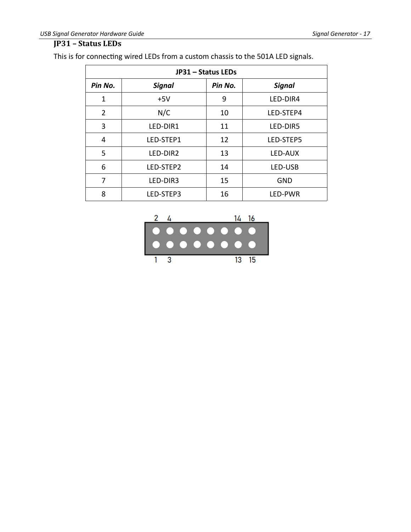#### <span id="page-19-0"></span>**JP31 – Status LEDs**

This is for connecting wired LEDs from a custom chassis to the 501A LED signals.

| JP31 - Status LEDs |               |         |               |
|--------------------|---------------|---------|---------------|
| Pin No.            | <b>Signal</b> | Pin No. | <b>Signal</b> |
| 1                  | $+5V$         | 9       | LED-DIR4      |
| $\overline{2}$     | N/C           | 10      | LED-STEP4     |
| 3                  | LED-DIR1      | 11      | LED-DIR5      |
| 4                  | LED-STEP1     | 12      | LED-STEP5     |
| 5                  | LED-DIR2      | 13      | LED-AUX       |
| 6                  | LED-STEP2     | 14      | LED-USB       |
| 7                  | LED-DIR3      | 15      | <b>GND</b>    |
| 8                  | LED-STEP3     | 16      | LED-PWR       |

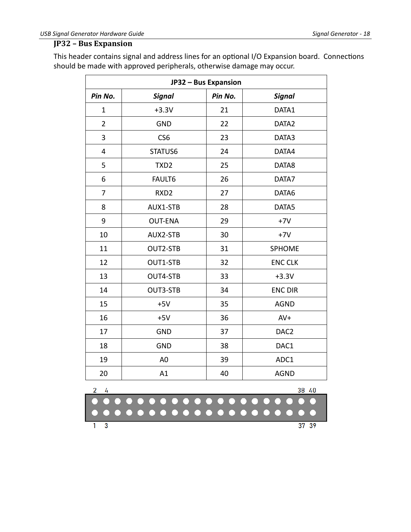#### <span id="page-20-0"></span>**JP32 – Bus Expansion**

This header contains signal and address lines for an optional I/O Expansion board. Connections should be made with approved peripherals, otherwise damage may occur.

| JP32 - Bus Expansion |                  |         |                  |  |  |  |  |  |  |
|----------------------|------------------|---------|------------------|--|--|--|--|--|--|
| Pin No.              | <b>Signal</b>    | Pin No. | <b>Signal</b>    |  |  |  |  |  |  |
| $\mathbf 1$          | $+3.3V$          | 21      | DATA1            |  |  |  |  |  |  |
| $\overline{2}$       | <b>GND</b>       | 22      | DATA2            |  |  |  |  |  |  |
| 3                    | CS <sub>6</sub>  | 23      | DATA3            |  |  |  |  |  |  |
| $\overline{4}$       | STATUS6          | 24      | DATA4            |  |  |  |  |  |  |
| 5                    | TXD <sub>2</sub> | 25      | DATA8            |  |  |  |  |  |  |
| 6                    | FAULT6           | 26      | DATA7            |  |  |  |  |  |  |
| 7                    | RXD <sub>2</sub> | 27      | DATA6            |  |  |  |  |  |  |
| 8                    | AUX1-STB         | 28      | DATA5            |  |  |  |  |  |  |
| 9                    | <b>OUT-ENA</b>   | 29      | $+7V$            |  |  |  |  |  |  |
| 10                   | AUX2-STB         | 30      | $+7V$            |  |  |  |  |  |  |
| 11                   | OUT2-STB         | 31      | SPHOME           |  |  |  |  |  |  |
| 12                   | OUT1-STB         | 32      | <b>ENC CLK</b>   |  |  |  |  |  |  |
| 13                   | OUT4-STB         | 33      | $+3.3V$          |  |  |  |  |  |  |
| 14                   | OUT3-STB         | 34      | <b>ENC DIR</b>   |  |  |  |  |  |  |
| 15                   | $+5V$            | 35      | <b>AGND</b>      |  |  |  |  |  |  |
| 16                   | $+5V$            | 36      | $AV+$            |  |  |  |  |  |  |
| 17                   | <b>GND</b>       | 37      | DAC <sub>2</sub> |  |  |  |  |  |  |
| 18                   | <b>GND</b>       | 38      | DAC1             |  |  |  |  |  |  |
| 19                   | A <sub>0</sub>   | 39      | ADC1             |  |  |  |  |  |  |
| 20                   | A1               | 40      | <b>AGND</b>      |  |  |  |  |  |  |

|  | -38-40 |  |
|--|--------|--|
|  |        |  |
|  |        |  |
|  | 3739   |  |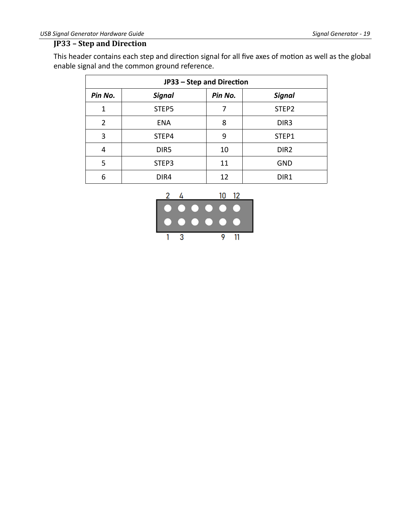#### <span id="page-21-0"></span>**JP33 – Step and Direction**

This header contains each step and direction signal for all five axes of motion as well as the global enable signal and the common ground reference.

|         | JP33 - Step and Direction |         |                  |  |  |  |  |  |  |  |
|---------|---------------------------|---------|------------------|--|--|--|--|--|--|--|
| Pin No. | <b>Signal</b>             | Pin No. | <b>Signal</b>    |  |  |  |  |  |  |  |
| 1       | STEP5                     | 7       | STEP2            |  |  |  |  |  |  |  |
| 2       | <b>ENA</b>                | 8       | DIR <sub>3</sub> |  |  |  |  |  |  |  |
| 3       | STEP4                     | 9       | STEP1            |  |  |  |  |  |  |  |
| 4       | DIR <sub>5</sub>          | 10      | DIR <sub>2</sub> |  |  |  |  |  |  |  |
| 5       | STEP3                     | 11      | <b>GND</b>       |  |  |  |  |  |  |  |
| 6       | DIR4                      | 12      | DIR1             |  |  |  |  |  |  |  |

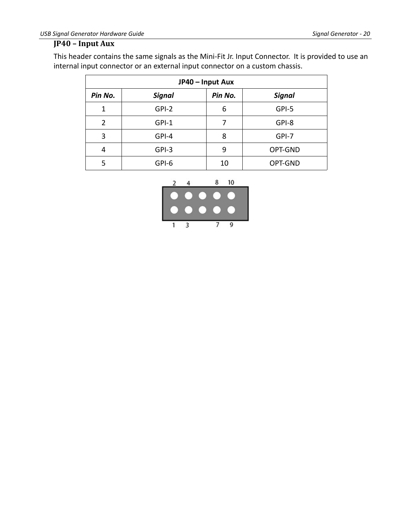#### <span id="page-22-0"></span>**JP40 – Input Aux**

This header contains the same signals as the Mini-Fit Jr. Input Connector. It is provided to use an internal input connector or an external input connector on a custom chassis.

|         | JP40 - Input Aux |         |               |  |  |  |  |  |  |  |  |
|---------|------------------|---------|---------------|--|--|--|--|--|--|--|--|
| Pin No. | <b>Signal</b>    | Pin No. | <b>Signal</b> |  |  |  |  |  |  |  |  |
| 1       | GPI-2            | 6       | GPI-5         |  |  |  |  |  |  |  |  |
| 2       | $GPI-1$          | 7       | GPI-8         |  |  |  |  |  |  |  |  |
| 3       | GPI-4            | 8       | GPI-7         |  |  |  |  |  |  |  |  |
| 4       | GPI-3            | 9       | OPT-GND       |  |  |  |  |  |  |  |  |
| 5       | GPI-6            | 10      | OPT-GND       |  |  |  |  |  |  |  |  |

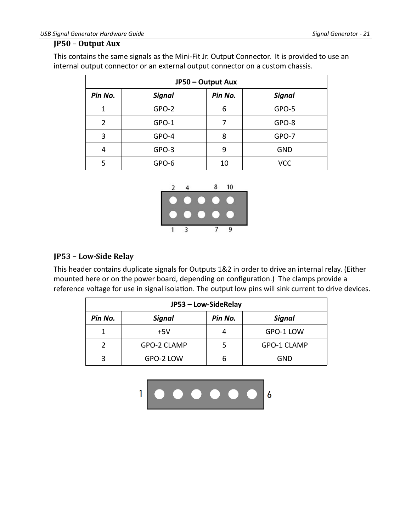#### <span id="page-23-1"></span>**JP50 – Output Aux**

This contains the same signals as the Mini-Fit Jr. Output Connector. It is provided to use an internal output connector or an external output connector on a custom chassis.

|         | JP50 - Output Aux |         |               |  |  |  |  |  |  |  |  |
|---------|-------------------|---------|---------------|--|--|--|--|--|--|--|--|
| Pin No. | <b>Signal</b>     | Pin No. | <b>Signal</b> |  |  |  |  |  |  |  |  |
| 1       | GPO-2             | 6       | GPO-5         |  |  |  |  |  |  |  |  |
| 2       | GPO-1             | 7       | GPO-8         |  |  |  |  |  |  |  |  |
| 3       | GPO-4             | 8       | GPO-7         |  |  |  |  |  |  |  |  |
| 4       | GPO-3             | 9       | <b>GND</b>    |  |  |  |  |  |  |  |  |
| 5       | GPO-6             | 10      | <b>VCC</b>    |  |  |  |  |  |  |  |  |



#### <span id="page-23-0"></span>**JP53 – Low-Side Relay**

This header contains duplicate signals for Outputs 1&2 in order to drive an internal relay. (Either mounted here or on the power board, depending on configuration.) The clamps provide a reference voltage for use in signal isolation. The output low pins will sink current to drive devices.

|               | JP53 - Low-SideRelay |         |             |  |  |  |  |  |  |  |  |  |
|---------------|----------------------|---------|-------------|--|--|--|--|--|--|--|--|--|
| Pin No.       | <b>Signal</b>        | Pin No. | Signal      |  |  |  |  |  |  |  |  |  |
|               | +5V                  |         | GPO-1 LOW   |  |  |  |  |  |  |  |  |  |
| $\mathcal{P}$ | GPO-2 CLAMP          |         | GPO-1 CLAMP |  |  |  |  |  |  |  |  |  |
| 3             | GPO-2 LOW            |         | GND         |  |  |  |  |  |  |  |  |  |

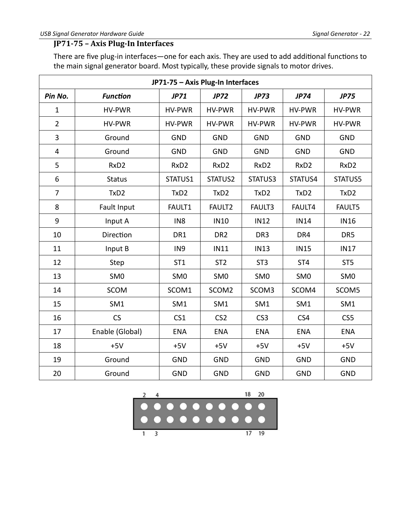#### <span id="page-24-0"></span>**JP71-75 – Axis Plug-In Interfaces**

There are five plug-in interfaces—one for each axis. They are used to add additional functions to the main signal generator board. Most typically, these provide signals to motor drives.

| JP71-75 - Axis Plug-In Interfaces |                  |                  |                    |                  |                            |                  |  |  |  |
|-----------------------------------|------------------|------------------|--------------------|------------------|----------------------------|------------------|--|--|--|
| Pin No.                           | <b>Function</b>  | <b>JP71</b>      | <b>JP72</b>        | <b>JP73</b>      | <b>JP74</b>                | <b>JP75</b>      |  |  |  |
| $\mathbf{1}$                      | <b>HV-PWR</b>    | HV-PWR           | HV-PWR             | HV-PWR           | HV-PWR                     | <b>HV-PWR</b>    |  |  |  |
| $\overline{2}$                    | <b>HV-PWR</b>    | <b>HV-PWR</b>    | <b>HV-PWR</b>      | <b>HV-PWR</b>    | <b>HV-PWR</b>              | HV-PWR           |  |  |  |
| 3                                 | Ground           | <b>GND</b>       | <b>GND</b>         | <b>GND</b>       | <b>GND</b>                 | <b>GND</b>       |  |  |  |
| 4                                 | Ground           | <b>GND</b>       | <b>GND</b>         | <b>GND</b>       | <b>GND</b>                 | <b>GND</b>       |  |  |  |
| 5                                 | RxD <sub>2</sub> | RxD <sub>2</sub> | RxD <sub>2</sub>   | RxD <sub>2</sub> | RxD <sub>2</sub>           | RxD <sub>2</sub> |  |  |  |
| 6                                 | <b>Status</b>    | STATUS1          | STATUS2            | STATUS3          | STATUS4                    | STATUS5          |  |  |  |
| $\overline{7}$                    | TxD <sub>2</sub> | TxD <sub>2</sub> | TxD <sub>2</sub>   | TxD <sub>2</sub> | TxD <sub>2</sub>           | TxD <sub>2</sub> |  |  |  |
| 8                                 | Fault Input      | FAULT1           | FAULT <sub>2</sub> | <b>FAULT3</b>    | FAULT4                     | <b>FAULT5</b>    |  |  |  |
| $\boldsymbol{9}$                  | Input A          | IN <sub>8</sub>  | <b>IN10</b>        | <b>IN12</b>      | <b>IN14</b>                | <b>IN16</b>      |  |  |  |
| 10                                | Direction        | DR1              | DR <sub>2</sub>    | DR <sub>3</sub>  | DR4<br>DR5                 |                  |  |  |  |
| 11                                | Input B          | IN <sub>9</sub>  | <b>IN11</b>        | <b>IN13</b>      | <b>IN15</b><br><b>IN17</b> |                  |  |  |  |
| 12                                | Step             | ST <sub>1</sub>  | ST <sub>2</sub>    | ST <sub>3</sub>  | ST <sub>4</sub>            | ST <sub>5</sub>  |  |  |  |
| 13                                | SM <sub>0</sub>  | SM <sub>0</sub>  | SM <sub>0</sub>    | SM <sub>0</sub>  | SM <sub>0</sub>            | SM <sub>0</sub>  |  |  |  |
| 14                                | <b>SCOM</b>      | SCOM1            | SCOM <sub>2</sub>  | SCOM3            | SCOM4                      | SCOM5            |  |  |  |
| 15                                | SM1              | SM1              | SM1                | SM1              | SM1                        | SM1              |  |  |  |
| 16                                | CS               | CS <sub>1</sub>  | CS <sub>2</sub>    | CS <sub>3</sub>  | CS4                        | CS5              |  |  |  |
| 17                                | Enable (Global)  | <b>ENA</b>       | <b>ENA</b>         | <b>ENA</b>       | <b>ENA</b>                 | <b>ENA</b>       |  |  |  |
| 18                                | $+5V$            | $+5V$            | $+5V$              | $+5V$            | $+5V$                      | $+5V$            |  |  |  |
| 19                                | Ground           | <b>GND</b>       | <b>GND</b>         | <b>GND</b>       | <b>GND</b>                 | <b>GND</b>       |  |  |  |
| 20                                | Ground           | <b>GND</b>       | <b>GND</b>         | <b>GND</b>       | <b>GND</b>                 | <b>GND</b>       |  |  |  |

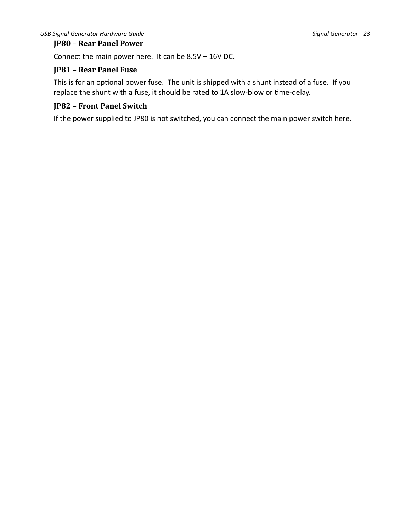#### <span id="page-25-2"></span>**JP80 – Rear Panel Power**

Connect the main power here. It can be 8.5V – 16V DC.

#### <span id="page-25-1"></span>**JP81 – Rear Panel Fuse**

This is for an optional power fuse. The unit is shipped with a shunt instead of a fuse. If you replace the shunt with a fuse, it should be rated to 1A slow-blow or time-delay.

#### <span id="page-25-0"></span>**JP82 – Front Panel Switch**

If the power supplied to JP80 is not switched, you can connect the main power switch here.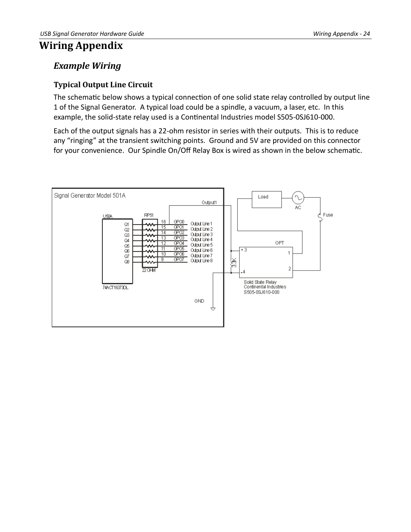## <span id="page-26-2"></span>**Wiring Appendix**

### <span id="page-26-1"></span>*Example Wiring*

#### <span id="page-26-0"></span>**Typical Output Line Circuit**

The schematic below shows a typical connection of one solid state relay controlled by output line 1 of the Signal Generator. A typical load could be a spindle, a vacuum, a laser, etc. In this example, the solid-state relay used is a Continental Industries model S505-0SJ610-000.

Each of the output signals has a 22-ohm resistor in series with their outputs. This is to reduce any "ringing" at the transient switching points. Ground and 5V are provided on this connector for your convenience. Our Spindle On/Off Relay Box is wired as shown in the below schematic.

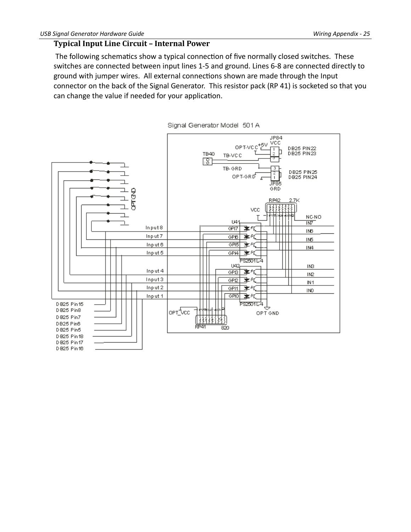#### <span id="page-27-0"></span>**Typical Input Line Circuit – Internal Power**

 The following schematics show a typical connection of five normally closed switches. These switches are connected between input lines 1-5 and ground. Lines 6-8 are connected directly to ground with jumper wires. All external connections shown are made through the Input connector on the back of the Signal Generator. This resistor pack (RP 41) is socketed so that you can change the value if needed for your application.

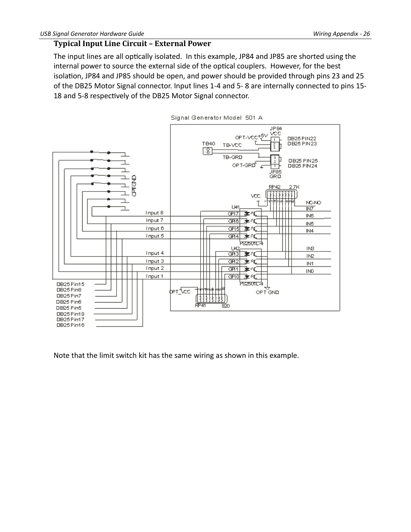#### <span id="page-28-0"></span>**Typical Input Line Circuit – External Power**

The input lines are all optically isolated. In this example, JP84 and JP85 are shorted using the internal power to source the external side of the optical couplers. However, for the best isolation, JP84 and JP85 should be open, and power should be provided through pins 23 and 25 of the DB25 Motor Signal connector. Input lines 1-4 and 5- 8 are internally connected to pins 15- 18 and 5-8 respectively of the DB25 Motor Signal connector.



Signal Generator Model 501 A

Note that the limit switch kit has the same wiring as shown in this example.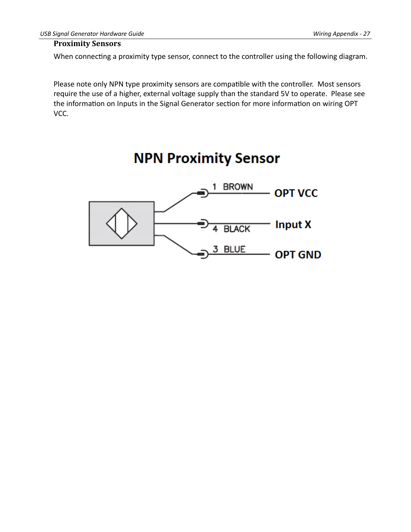#### <span id="page-29-0"></span>**Proximity Sensors**

When connecting a proximity type sensor, connect to the controller using the following diagram.

Please note only NPN type proximity sensors are compatible with the controller. Most sensors require the use of a higher, external voltage supply than the standard 5V to operate. Please see the information on Inputs in the Signal Generator section for more information on wiring OPT VCC.

## **NPN Proximity Sensor**

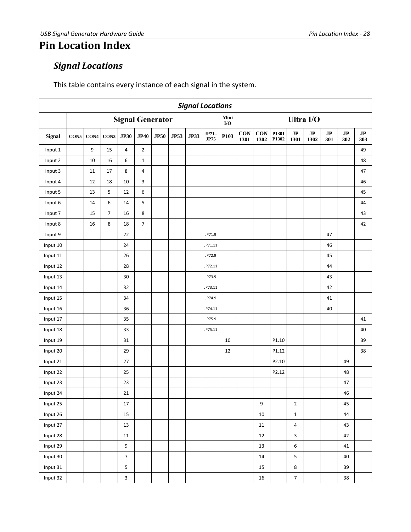## <span id="page-30-0"></span>**Pin Location Index**

## <span id="page-30-1"></span>*Signal Locations*

This table contains every instance of each signal in the system.

|          | <b>Signal Locations</b> |      |                |                  |                |                         |             |             |                      |             |                    |             |                |                                |                       |                               |                               |           |
|----------|-------------------------|------|----------------|------------------|----------------|-------------------------|-------------|-------------|----------------------|-------------|--------------------|-------------|----------------|--------------------------------|-----------------------|-------------------------------|-------------------------------|-----------|
|          |                         |      |                |                  |                | <b>Signal Generator</b> |             |             |                      | Mini<br>I/O | Ultra I/O          |             |                |                                |                       |                               |                               |           |
| Signal   | CON5                    | CON4 | ${\bf CON3}$   | <b>JP30</b>      | <b>JP40</b>    | JP50                    | <b>JP53</b> | <b>JP33</b> | JP71-<br><b>JP75</b> | P103        | <b>CON</b><br>1301 | CON<br>1302 | P1301<br>P1302 | $\mathbf{J}\mathbf{P}$<br>1301 | $\mathbf{JP}$<br>1302 | $\mathbf{J}\mathbf{P}$<br>301 | $\mathbf{J}\mathbf{P}$<br>302 | JP<br>303 |
| Input 1  |                         | 9    | 15             | 4                | $\overline{2}$ |                         |             |             |                      |             |                    |             |                |                                |                       |                               |                               | 49        |
| Input 2  |                         | 10   | 16             | 6                | $\mathbf 1$    |                         |             |             |                      |             |                    |             |                |                                |                       |                               |                               | 48        |
| Input 3  |                         | 11   | 17             | 8                | 4              |                         |             |             |                      |             |                    |             |                |                                |                       |                               |                               | 47        |
| Input 4  |                         | 12   | 18             | 10               | 3              |                         |             |             |                      |             |                    |             |                |                                |                       |                               |                               | 46        |
| Input 5  |                         | 13   | 5              | 12               | 6              |                         |             |             |                      |             |                    |             |                |                                |                       |                               |                               | 45        |
| Input 6  |                         | 14   | 6              | 14               | 5              |                         |             |             |                      |             |                    |             |                |                                |                       |                               |                               | 44        |
| Input 7  |                         | 15   | $\overline{7}$ | 16               | 8              |                         |             |             |                      |             |                    |             |                |                                |                       |                               |                               | 43        |
| Input 8  |                         | 16   | 8              | 18               | $\overline{7}$ |                         |             |             |                      |             |                    |             |                |                                |                       |                               |                               | 42        |
| Input 9  |                         |      |                | 22               |                |                         |             |             | JP71.9               |             |                    |             |                |                                |                       | 47                            |                               |           |
| Input 10 |                         |      |                | 24               |                |                         |             |             | JP71.11              |             |                    |             |                |                                |                       | 46                            |                               |           |
| Input 11 |                         |      |                | 26               |                |                         |             |             | JP72.9               |             |                    |             |                |                                |                       | 45                            |                               |           |
| Input 12 |                         |      |                | 28               |                |                         |             |             | JP72.11              |             |                    |             |                |                                |                       | 44                            |                               |           |
| Input 13 |                         |      |                | 30               |                |                         |             |             | JP73.9               |             |                    |             |                |                                |                       | 43                            |                               |           |
| Input 14 |                         |      |                | 32               |                |                         |             |             | JP73.11              |             |                    |             |                |                                |                       | 42                            |                               |           |
| Input 15 |                         |      |                | 34               |                |                         |             |             | JP74.9               |             |                    |             |                |                                |                       | 41                            |                               |           |
| Input 16 |                         |      |                | 36               |                |                         |             |             | JP74.11              |             |                    |             |                |                                |                       | 40                            |                               |           |
| Input 17 |                         |      |                | 35               |                |                         |             |             | JP75.9               |             |                    |             |                |                                |                       |                               |                               | 41        |
| Input 18 |                         |      |                | 33               |                |                         |             |             | JP75.11              |             |                    |             |                |                                |                       |                               |                               | 40        |
| Input 19 |                         |      |                | 31               |                |                         |             |             |                      | 10          |                    |             | P1.10          |                                |                       |                               |                               | 39        |
| Input 20 |                         |      |                | 29               |                |                         |             |             |                      | 12          |                    |             | P1.12          |                                |                       |                               |                               | 38        |
| Input 21 |                         |      |                | 27               |                |                         |             |             |                      |             |                    |             | P2.10          |                                |                       |                               | 49                            |           |
| Input 22 |                         |      |                | 25               |                |                         |             |             |                      |             |                    |             | P2.12          |                                |                       |                               | 48                            |           |
| Input 23 |                         |      |                | 23               |                |                         |             |             |                      |             |                    |             |                |                                |                       |                               | 47                            |           |
| Input 24 |                         |      |                | 21               |                |                         |             |             |                      |             |                    |             |                |                                |                       |                               | 46                            |           |
| Input 25 |                         |      |                | $17\,$           |                |                         |             |             |                      |             |                    | 9           |                | $\overline{2}$                 |                       |                               | 45                            |           |
| Input 26 |                         |      |                | 15               |                |                         |             |             |                      |             |                    | $10\,$      |                | $\mathbf 1$                    |                       |                               | 44                            |           |
| Input 27 |                         |      |                | $13\,$           |                |                         |             |             |                      |             |                    | 11          |                | $\overline{\mathbf{4}}$        |                       |                               | 43                            |           |
| Input 28 |                         |      |                | 11               |                |                         |             |             |                      |             |                    | 12          |                | $\overline{3}$                 |                       |                               | 42                            |           |
| Input 29 |                         |      |                | $\boldsymbol{9}$ |                |                         |             |             |                      |             |                    | 13          |                | 6                              |                       |                               | 41                            |           |
| Input 30 |                         |      |                | $\overline{7}$   |                |                         |             |             |                      |             |                    | 14          |                | 5                              |                       |                               | 40                            |           |
| Input 31 |                         |      |                | 5                |                |                         |             |             |                      |             |                    | 15          |                | 8                              |                       |                               | 39                            |           |
| Input 32 |                         |      |                | $\mathbf{3}$     |                |                         |             |             |                      |             |                    | $16\,$      |                | $\overline{7}$                 |                       |                               | 38                            |           |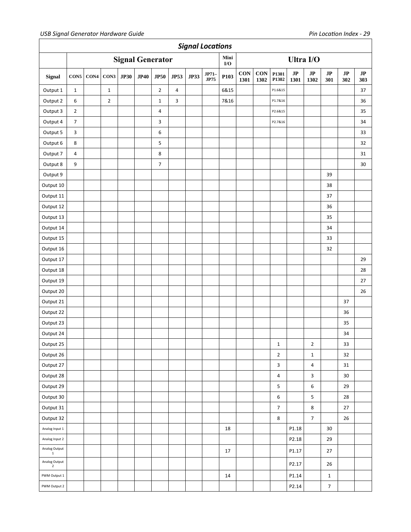|                                 | <b>Signal Locations</b> |      |                |             |                         |                |             |             |                 |                  |             |             |                         |                                |                                |                               |           |                               |
|---------------------------------|-------------------------|------|----------------|-------------|-------------------------|----------------|-------------|-------------|-----------------|------------------|-------------|-------------|-------------------------|--------------------------------|--------------------------------|-------------------------------|-----------|-------------------------------|
|                                 |                         |      |                |             | <b>Signal Generator</b> |                |             |             |                 | Mini<br>I/O      |             |             |                         |                                | Ultra I/O                      |                               |           |                               |
| Signal                          | CON5                    | CON4 | CON3           | <b>JP30</b> | JP40                    | <b>JP50</b>    | <b>JP53</b> | <b>JP33</b> | $JP71-$<br>JP75 | P <sub>103</sub> | CON<br>1301 | CON<br>1302 | P1301<br>P1302          | $\mathbf{J}\mathbf{P}$<br>1301 | $\mathbf{J}\mathbf{P}$<br>1302 | $\mathbf{J}\mathbf{P}$<br>301 | JP<br>302 | $\mathbf{J}\mathbf{P}$<br>303 |
| Output 1                        | $\mathbf 1$             |      | $\mathbf{1}$   |             |                         | $\mathbf 2$    | 4           |             |                 | 6&15             |             |             | P1.6&15                 |                                |                                |                               |           | 37                            |
| Output 2                        | 6                       |      | $\overline{2}$ |             |                         | $\mathbf 1$    | 3           |             |                 | 7&16             |             |             | P1.7&16                 |                                |                                |                               |           | 36                            |
| Output 3                        | $\mathbf 2$             |      |                |             |                         | 4              |             |             |                 |                  |             |             | P2.6&15                 |                                |                                |                               |           | 35                            |
| Output 4                        | $\overline{7}$          |      |                |             |                         | 3              |             |             |                 |                  |             |             | P2.7&16                 |                                |                                |                               |           | 34                            |
| Output 5                        | $\mathbf{3}$            |      |                |             |                         | 6              |             |             |                 |                  |             |             |                         |                                |                                |                               |           | 33                            |
| Output 6                        | $\bf 8$                 |      |                |             |                         | 5              |             |             |                 |                  |             |             |                         |                                |                                |                               |           | 32                            |
| Output 7                        | $\pmb{4}$               |      |                |             |                         | $\bf 8$        |             |             |                 |                  |             |             |                         |                                |                                |                               |           | 31                            |
| Output 8                        | 9                       |      |                |             |                         | $\overline{7}$ |             |             |                 |                  |             |             |                         |                                |                                |                               |           | 30                            |
| Output 9                        |                         |      |                |             |                         |                |             |             |                 |                  |             |             |                         |                                |                                | 39                            |           |                               |
| Output 10                       |                         |      |                |             |                         |                |             |             |                 |                  |             |             |                         |                                |                                | 38                            |           |                               |
| Output 11                       |                         |      |                |             |                         |                |             |             |                 |                  |             |             |                         |                                |                                | 37                            |           |                               |
| Output 12                       |                         |      |                |             |                         |                |             |             |                 |                  |             |             |                         |                                |                                | 36                            |           |                               |
| Output 13                       |                         |      |                |             |                         |                |             |             |                 |                  |             |             |                         |                                |                                | 35                            |           |                               |
| Output 14                       |                         |      |                |             |                         |                |             |             |                 |                  |             |             |                         |                                |                                | 34                            |           |                               |
| Output 15                       |                         |      |                |             |                         |                |             |             |                 |                  |             |             |                         |                                |                                | 33                            |           |                               |
| Output 16                       |                         |      |                |             |                         |                |             |             |                 |                  |             |             |                         |                                |                                | 32                            |           |                               |
| Output 17                       |                         |      |                |             |                         |                |             |             |                 |                  |             |             |                         |                                |                                |                               |           | 29                            |
| Output 18                       |                         |      |                |             |                         |                |             |             |                 |                  |             |             |                         |                                |                                |                               |           | 28                            |
| Output 19                       |                         |      |                |             |                         |                |             |             |                 |                  |             |             |                         |                                |                                |                               |           | 27                            |
| Output 20                       |                         |      |                |             |                         |                |             |             |                 |                  |             |             |                         |                                |                                |                               |           | 26                            |
| Output 21                       |                         |      |                |             |                         |                |             |             |                 |                  |             |             |                         |                                |                                |                               | 37        |                               |
| Output 22                       |                         |      |                |             |                         |                |             |             |                 |                  |             |             |                         |                                |                                |                               | 36        |                               |
| Output 23                       |                         |      |                |             |                         |                |             |             |                 |                  |             |             |                         |                                |                                |                               | 35        |                               |
| Output 24                       |                         |      |                |             |                         |                |             |             |                 |                  |             |             |                         |                                |                                |                               | 34        |                               |
| Output 25                       |                         |      |                |             |                         |                |             |             |                 |                  |             |             | $\mathbf 1$             |                                | $\overline{\mathbf{c}}$        |                               | 33        |                               |
| Output 26                       |                         |      |                |             |                         |                |             |             |                 |                  |             |             | $\overline{2}$          |                                | $\mathbf{1}$                   |                               | 32        |                               |
| Output 27                       |                         |      |                |             |                         |                |             |             |                 |                  |             |             | $\mathbf{3}$            |                                | $\pmb{4}$                      |                               | 31        |                               |
| Output 28                       |                         |      |                |             |                         |                |             |             |                 |                  |             |             | $\overline{\mathbf{4}}$ |                                | $\mathbf{3}$                   |                               | 30        |                               |
| Output 29                       |                         |      |                |             |                         |                |             |             |                 |                  |             |             | 5                       |                                | $\sf 6$                        |                               | 29        |                               |
| Output 30                       |                         |      |                |             |                         |                |             |             |                 |                  |             |             | 6                       |                                | $\overline{\mathbf{5}}$        |                               | 28        |                               |
| Output 31                       |                         |      |                |             |                         |                |             |             |                 |                  |             |             | $\overline{7}$          |                                | $\bf 8$                        |                               | 27        |                               |
| Output 32                       |                         |      |                |             |                         |                |             |             |                 |                  |             |             | $\bf 8$                 |                                | $\overline{7}$                 |                               | 26        |                               |
| Analog Input 1                  |                         |      |                |             |                         |                |             |             |                 | 18               |             |             |                         | P1.18                          |                                | $30\,$                        |           |                               |
| Analog Input 2                  |                         |      |                |             |                         |                |             |             |                 |                  |             |             |                         | P2.18                          |                                | 29                            |           |                               |
| Analog Output<br>$\,$ 1 $\,$    |                         |      |                |             |                         |                |             |             |                 | 17               |             |             |                         | P1.17                          |                                | 27                            |           |                               |
| Analog Output<br>$\overline{2}$ |                         |      |                |             |                         |                |             |             |                 |                  |             |             |                         | P2.17                          |                                | 26                            |           |                               |
| PWM Output 1                    |                         |      |                |             |                         |                |             |             |                 | 14               |             |             |                         | P1.14                          |                                | $\mathbf{1}$                  |           |                               |
| PWM Output 2                    |                         |      |                |             |                         |                |             |             |                 |                  |             |             |                         | P2.14                          |                                | $\boldsymbol{7}$              |           |                               |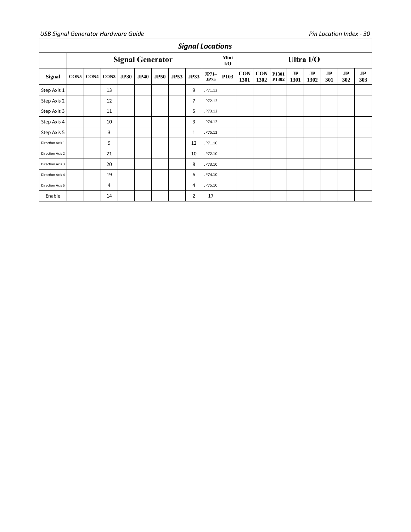#### *USB Signal Generator Hardware Guide Pin Location Index - 30*

|                  | <b>Signal Locations</b> |      |      |             |                         |             |             |                |                      |             |                    |                    |                |            |            |           |           |           |
|------------------|-------------------------|------|------|-------------|-------------------------|-------------|-------------|----------------|----------------------|-------------|--------------------|--------------------|----------------|------------|------------|-----------|-----------|-----------|
|                  |                         |      |      |             | <b>Signal Generator</b> |             |             |                |                      | Mini<br>I/O | Ultra I/O          |                    |                |            |            |           |           |           |
| <b>Signal</b>    | CON5                    | CON4 | CON3 | <b>JP30</b> | <b>JP40</b>             | <b>JP50</b> | <b>JP53</b> | <b>JP33</b>    | JP71-<br><b>JP75</b> | P103        | <b>CON</b><br>1301 | <b>CON</b><br>1302 | P1301<br>P1302 | JP<br>1301 | JP<br>1302 | JP<br>301 | JP<br>302 | JP<br>303 |
| Step Axis 1      |                         |      | 13   |             |                         |             |             | 9              | JP71.12              |             |                    |                    |                |            |            |           |           |           |
| Step Axis 2      |                         |      | 12   |             |                         |             |             | $\overline{7}$ | JP72.12              |             |                    |                    |                |            |            |           |           |           |
| Step Axis 3      |                         |      | 11   |             |                         |             |             | 5              | JP73.12              |             |                    |                    |                |            |            |           |           |           |
| Step Axis 4      |                         |      | 10   |             |                         |             |             | 3              | JP74.12              |             |                    |                    |                |            |            |           |           |           |
| Step Axis 5      |                         |      | 3    |             |                         |             |             | $\mathbf{1}$   | JP75.12              |             |                    |                    |                |            |            |           |           |           |
| Direction Axis 1 |                         |      | 9    |             |                         |             |             | 12             | JP71.10              |             |                    |                    |                |            |            |           |           |           |
| Direction Axis 2 |                         |      | 21   |             |                         |             |             | 10             | JP72.10              |             |                    |                    |                |            |            |           |           |           |
| Direction Axis 3 |                         |      | 20   |             |                         |             |             | 8              | JP73.10              |             |                    |                    |                |            |            |           |           |           |
| Direction Axis 4 |                         |      | 19   |             |                         |             |             | 6              | JP74.10              |             |                    |                    |                |            |            |           |           |           |
| Direction Axis 5 |                         |      | 4    |             |                         |             |             | 4              | JP75.10              |             |                    |                    |                |            |            |           |           |           |
| Enable           |                         |      | 14   |             |                         |             |             | 2              | 17                   |             |                    |                    |                |            |            |           |           |           |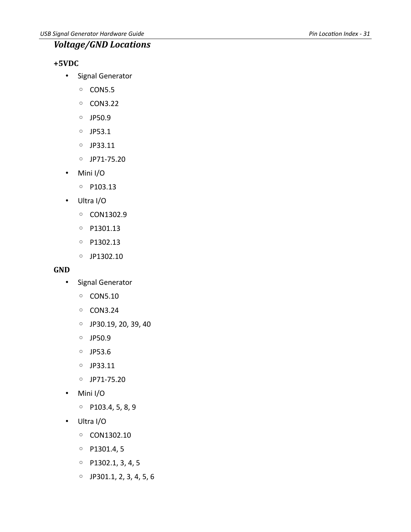## <span id="page-33-2"></span>*Voltage/GND Locations*

#### <span id="page-33-1"></span>**+5VDC**

- Signal Generator
	- CON5.5
	- CON3.22
	- JP50.9
	- JP53.1
	- JP33.11
	- JP71-75.20
- Mini I/O
	- P103.13
- Ultra I/O
	- CON1302.9
	- P1301.13
	- P1302.13
	- JP1302.10

#### <span id="page-33-0"></span>**GND**

- Signal Generator
	- CON5.10
	- CON3.24
	- JP30.19, 20, 39, 40
	- JP50.9
	- JP53.6
	- JP33.11
	- JP71-75.20
- Mini I/O
	- P103.4, 5, 8, 9
- Ultra I/O
	- CON1302.10
	- P1301.4, 5
	- P1302.1, 3, 4, 5
	- JP301.1, 2, 3, 4, 5, 6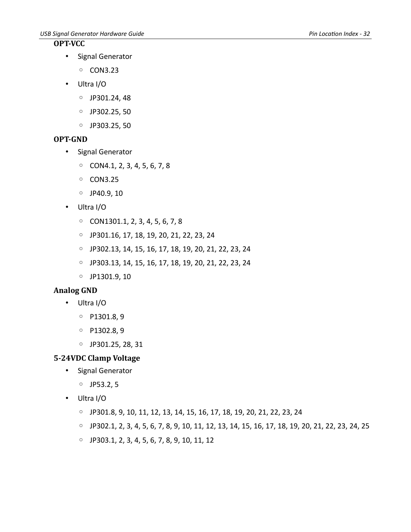#### <span id="page-34-3"></span>**OPT-VCC**

• Signal Generator

◦ CON3.23

- Ultra I/O
	- JP301.24, 48
	- JP302.25, 50
	- JP303.25, 50

#### <span id="page-34-2"></span>**OPT-GND**

- Signal Generator
	- CON4.1, 2, 3, 4, 5, 6, 7, 8
	- CON3.25
	- JP40.9, 10
- Ultra I/O
	- CON1301.1, 2, 3, 4, 5, 6, 7, 8
	- JP301.16, 17, 18, 19, 20, 21, 22, 23, 24
	- JP302.13, 14, 15, 16, 17, 18, 19, 20, 21, 22, 23, 24
	- JP303.13, 14, 15, 16, 17, 18, 19, 20, 21, 22, 23, 24
	- JP1301.9, 10

#### <span id="page-34-1"></span>**Analog GND**

- Ultra I/O
	- P1301.8, 9
	- P1302.8, 9
	- JP301.25, 28, 31

#### <span id="page-34-0"></span>**5-24VDC Clamp Voltage**

- Signal Generator
	- JP53.2, 5
- Ultra I/O
	- JP301.8, 9, 10, 11, 12, 13, 14, 15, 16, 17, 18, 19, 20, 21, 22, 23, 24
	- JP302.1, 2, 3, 4, 5, 6, 7, 8, 9, 10, 11, 12, 13, 14, 15, 16, 17, 18, 19, 20, 21, 22, 23, 24, 25
	- JP303.1, 2, 3, 4, 5, 6, 7, 8, 9, 10, 11, 12